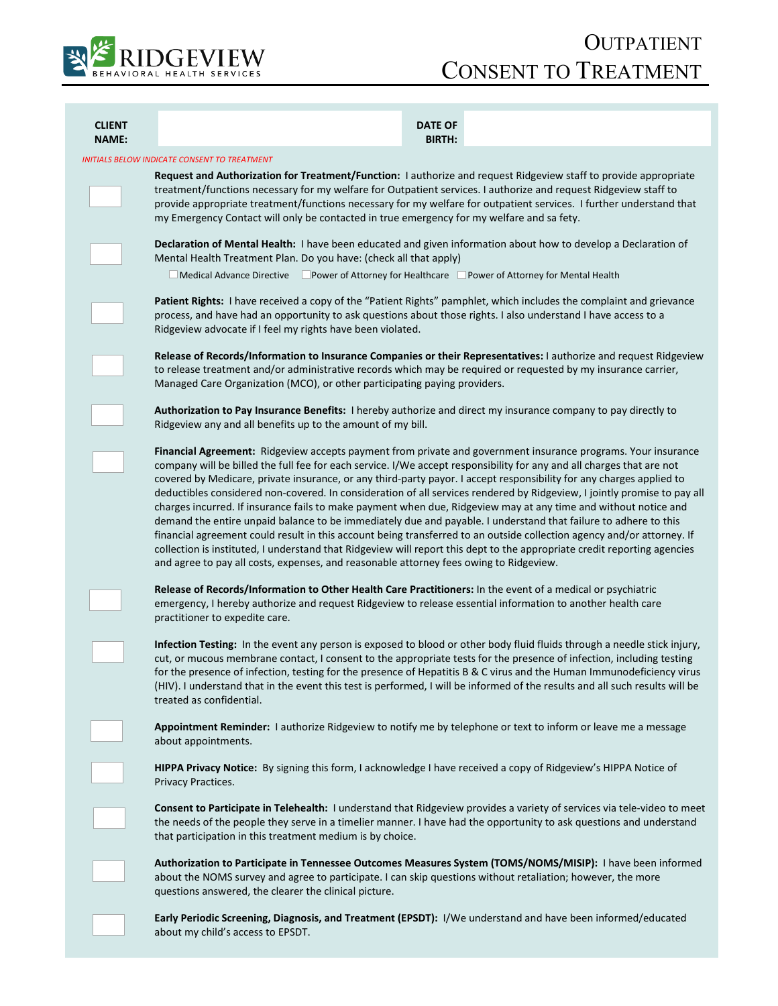

| <b>CLIENT</b><br>NAME:                      | <b>DATE OF</b><br><b>BIRTH:</b>                                                                                                                                                                                                                                                                                                                                                                                                                                                                                                                                                                                                                                                                                                                                                                                                                                                                                                                                                                                                                                                  |
|---------------------------------------------|----------------------------------------------------------------------------------------------------------------------------------------------------------------------------------------------------------------------------------------------------------------------------------------------------------------------------------------------------------------------------------------------------------------------------------------------------------------------------------------------------------------------------------------------------------------------------------------------------------------------------------------------------------------------------------------------------------------------------------------------------------------------------------------------------------------------------------------------------------------------------------------------------------------------------------------------------------------------------------------------------------------------------------------------------------------------------------|
| NITIALS BELOW INDICATE CONSENT TO TREATMENT |                                                                                                                                                                                                                                                                                                                                                                                                                                                                                                                                                                                                                                                                                                                                                                                                                                                                                                                                                                                                                                                                                  |
|                                             | Request and Authorization for Treatment/Function: I authorize and request Ridgeview staff to provide appropriate<br>treatment/functions necessary for my welfare for Outpatient services. I authorize and request Ridgeview staff to<br>provide appropriate treatment/functions necessary for my welfare for outpatient services. I further understand that<br>my Emergency Contact will only be contacted in true emergency for my welfare and sa fety.                                                                                                                                                                                                                                                                                                                                                                                                                                                                                                                                                                                                                         |
|                                             | Declaration of Mental Health: I have been educated and given information about how to develop a Declaration of<br>Mental Health Treatment Plan. Do you have: (check all that apply)                                                                                                                                                                                                                                                                                                                                                                                                                                                                                                                                                                                                                                                                                                                                                                                                                                                                                              |
|                                             | $\Box$ Medical Advance Directive $\Box$ Power of Attorney for Healthcare $\Box$ Power of Attorney for Mental Health                                                                                                                                                                                                                                                                                                                                                                                                                                                                                                                                                                                                                                                                                                                                                                                                                                                                                                                                                              |
|                                             | Patient Rights: I have received a copy of the "Patient Rights" pamphlet, which includes the complaint and grievance<br>process, and have had an opportunity to ask questions about those rights. I also understand I have access to a<br>Ridgeview advocate if I feel my rights have been violated.                                                                                                                                                                                                                                                                                                                                                                                                                                                                                                                                                                                                                                                                                                                                                                              |
|                                             | Release of Records/Information to Insurance Companies or their Representatives: I authorize and request Ridgeview<br>to release treatment and/or administrative records which may be required or requested by my insurance carrier,<br>Managed Care Organization (MCO), or other participating paying providers.                                                                                                                                                                                                                                                                                                                                                                                                                                                                                                                                                                                                                                                                                                                                                                 |
|                                             | Authorization to Pay Insurance Benefits: I hereby authorize and direct my insurance company to pay directly to<br>Ridgeview any and all benefits up to the amount of my bill.                                                                                                                                                                                                                                                                                                                                                                                                                                                                                                                                                                                                                                                                                                                                                                                                                                                                                                    |
|                                             | Financial Agreement: Ridgeview accepts payment from private and government insurance programs. Your insurance<br>company will be billed the full fee for each service. I/We accept responsibility for any and all charges that are not<br>covered by Medicare, private insurance, or any third-party payor. I accept responsibility for any charges applied to<br>deductibles considered non-covered. In consideration of all services rendered by Ridgeview, I jointly promise to pay all<br>charges incurred. If insurance fails to make payment when due, Ridgeview may at any time and without notice and<br>demand the entire unpaid balance to be immediately due and payable. I understand that failure to adhere to this<br>financial agreement could result in this account being transferred to an outside collection agency and/or attorney. If<br>collection is instituted, I understand that Ridgeview will report this dept to the appropriate credit reporting agencies<br>and agree to pay all costs, expenses, and reasonable attorney fees owing to Ridgeview. |
|                                             | Release of Records/Information to Other Health Care Practitioners: In the event of a medical or psychiatric<br>emergency, I hereby authorize and request Ridgeview to release essential information to another health care<br>practitioner to expedite care.                                                                                                                                                                                                                                                                                                                                                                                                                                                                                                                                                                                                                                                                                                                                                                                                                     |
|                                             | Infection Testing: In the event any person is exposed to blood or other body fluid fluids through a needle stick injury,<br>cut, or mucous membrane contact, I consent to the appropriate tests for the presence of infection, including testing<br>for the presence of infection, testing for the presence of Hepatitis B & C virus and the Human Immunodeficiency virus<br>(HIV). I understand that in the event this test is performed, I will be informed of the results and all such results will be<br>treated as confidential.                                                                                                                                                                                                                                                                                                                                                                                                                                                                                                                                            |
|                                             | Appointment Reminder: I authorize Ridgeview to notify me by telephone or text to inform or leave me a message<br>about appointments.                                                                                                                                                                                                                                                                                                                                                                                                                                                                                                                                                                                                                                                                                                                                                                                                                                                                                                                                             |
|                                             | HIPPA Privacy Notice: By signing this form, I acknowledge I have received a copy of Ridgeview's HIPPA Notice of<br>Privacy Practices.                                                                                                                                                                                                                                                                                                                                                                                                                                                                                                                                                                                                                                                                                                                                                                                                                                                                                                                                            |
|                                             | Consent to Participate in Telehealth: I understand that Ridgeview provides a variety of services via tele-video to meet<br>the needs of the people they serve in a timelier manner. I have had the opportunity to ask questions and understand<br>that participation in this treatment medium is by choice.                                                                                                                                                                                                                                                                                                                                                                                                                                                                                                                                                                                                                                                                                                                                                                      |
|                                             | Authorization to Participate in Tennessee Outcomes Measures System (TOMS/NOMS/MISIP): I have been informed<br>about the NOMS survey and agree to participate. I can skip questions without retaliation; however, the more<br>questions answered, the clearer the clinical picture.                                                                                                                                                                                                                                                                                                                                                                                                                                                                                                                                                                                                                                                                                                                                                                                               |

**Early Periodic Screening, Diagnosis, and Treatment (EPSDT):** I/We understand and have been informed/educated about my child's access to EPSDT.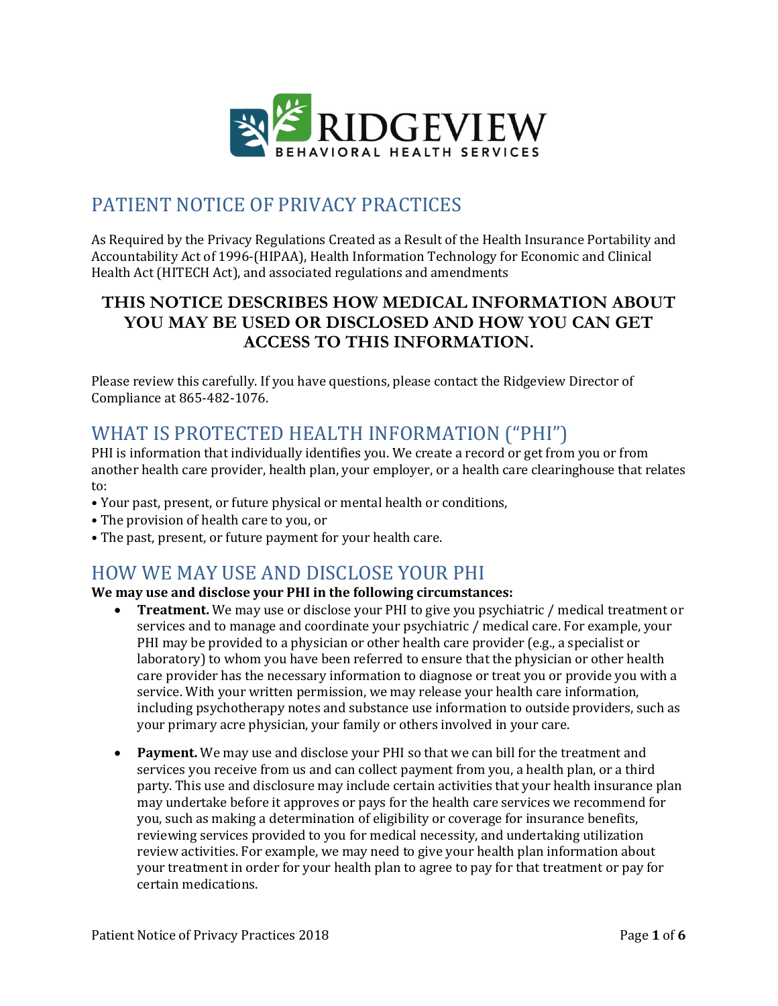

## PATIENT NOTICE OF PRIVACY PRACTICES

As Required by the Privacy Regulations Created as a Result of the Health Insurance Portability and Accountability Act of 1996-(HIPAA), Health Information Technology for Economic and Clinical Health Act (HITECH Act), and associated regulations and amendments

## **THIS NOTICE DESCRIBES HOW MEDICAL INFORMATION ABOUT YOU MAY BE USED OR DISCLOSED AND HOW YOU CAN GET ACCESS TO THIS INFORMATION.**

Please review this carefully. If you have questions, please contact the Ridgeview Director of Compliance at 865-482-1076.

# WHAT IS PROTECTED HEALTH INFORMATION ("PHI")

PHI is information that individually identifies you. We create a record or get from you or from another health care provider, health plan, your employer, or a health care clearinghouse that relates to:

- Your past, present, or future physical or mental health or conditions,
- The provision of health care to you, or
- The past, present, or future payment for your health care.

## HOW WE MAY USE AND DISCLOSE YOUR PHI

## **We may use and disclose your PHI in the following circumstances:**

- **Treatment.** We may use or disclose your PHI to give you psychiatric / medical treatment or services and to manage and coordinate your psychiatric / medical care. For example, your PHI may be provided to a physician or other health care provider (e.g., a specialist or laboratory) to whom you have been referred to ensure that the physician or other health care provider has the necessary information to diagnose or treat you or provide you with a service. With your written permission, we may release your health care information, including psychotherapy notes and substance use information to outside providers, such as your primary acre physician, your family or others involved in your care.
- **Payment.** We may use and disclose your PHI so that we can bill for the treatment and services you receive from us and can collect payment from you, a health plan, or a third party. This use and disclosure may include certain activities that your health insurance plan may undertake before it approves or pays for the health care services we recommend for you, such as making a determination of eligibility or coverage for insurance benefits, reviewing services provided to you for medical necessity, and undertaking utilization review activities. For example, we may need to give your health plan information about your treatment in order for your health plan to agree to pay for that treatment or pay for certain medications.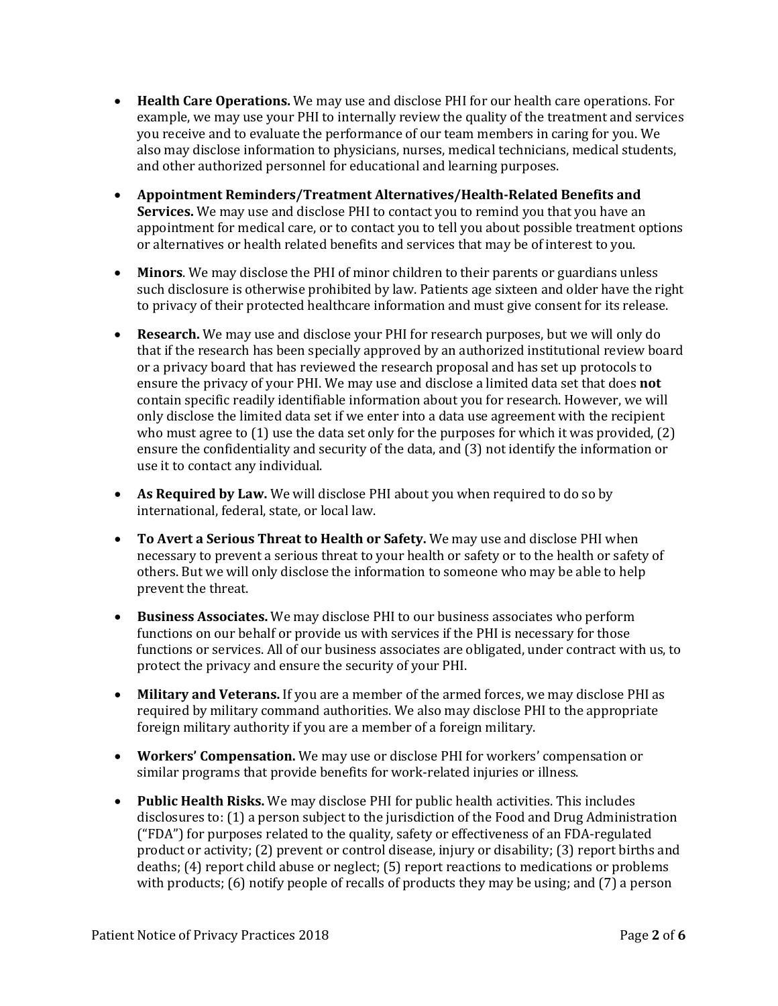- **Health Care Operations.** We may use and disclose PHI for our health care operations. For example, we may use your PHI to internally review the quality of the treatment and services you receive and to evaluate the performance of our team members in caring for you. We also may disclose information to physicians, nurses, medical technicians, medical students, and other authorized personnel for educational and learning purposes.
- **Appointment Reminders/Treatment Alternatives/Health-Related Benefits and Services.** We may use and disclose PHI to contact you to remind you that you have an appointment for medical care, or to contact you to tell you about possible treatment options or alternatives or health related benefits and services that may be of interest to you.
- **Minors**. We may disclose the PHI of minor children to their parents or guardians unless such disclosure is otherwise prohibited by law. Patients age sixteen and older have the right to privacy of their protected healthcare information and must give consent for its release.
- **Research.** We may use and disclose your PHI for research purposes, but we will only do that if the research has been specially approved by an authorized institutional review board or a privacy board that has reviewed the research proposal and has set up protocols to ensure the privacy of your PHI. We may use and disclose a limited data set that does **not**  contain specific readily identifiable information about you for research. However, we will only disclose the limited data set if we enter into a data use agreement with the recipient who must agree to  $(1)$  use the data set only for the purposes for which it was provided,  $(2)$ ensure the confidentiality and security of the data, and (3) not identify the information or use it to contact any individual.
- **As Required by Law.** We will disclose PHI about you when required to do so by international, federal, state, or local law.
- **To Avert a Serious Threat to Health or Safety.** We may use and disclose PHI when necessary to prevent a serious threat to your health or safety or to the health or safety of others. But we will only disclose the information to someone who may be able to help prevent the threat.
- **Business Associates.** We may disclose PHI to our business associates who perform functions on our behalf or provide us with services if the PHI is necessary for those functions or services. All of our business associates are obligated, under contract with us, to protect the privacy and ensure the security of your PHI.
- **Military and Veterans.** If you are a member of the armed forces, we may disclose PHI as required by military command authorities. We also may disclose PHI to the appropriate foreign military authority if you are a member of a foreign military.
- **Workers' Compensation.** We may use or disclose PHI for workers' compensation or similar programs that provide benefits for work-related injuries or illness.
- **Public Health Risks.** We may disclose PHI for public health activities. This includes disclosures to: (1) a person subject to the jurisdiction of the Food and Drug Administration ("FDA") for purposes related to the quality, safety or effectiveness of an FDA-regulated product or activity; (2) prevent or control disease, injury or disability; (3) report births and deaths; (4) report child abuse or neglect; (5) report reactions to medications or problems with products; (6) notify people of recalls of products they may be using; and (7) a person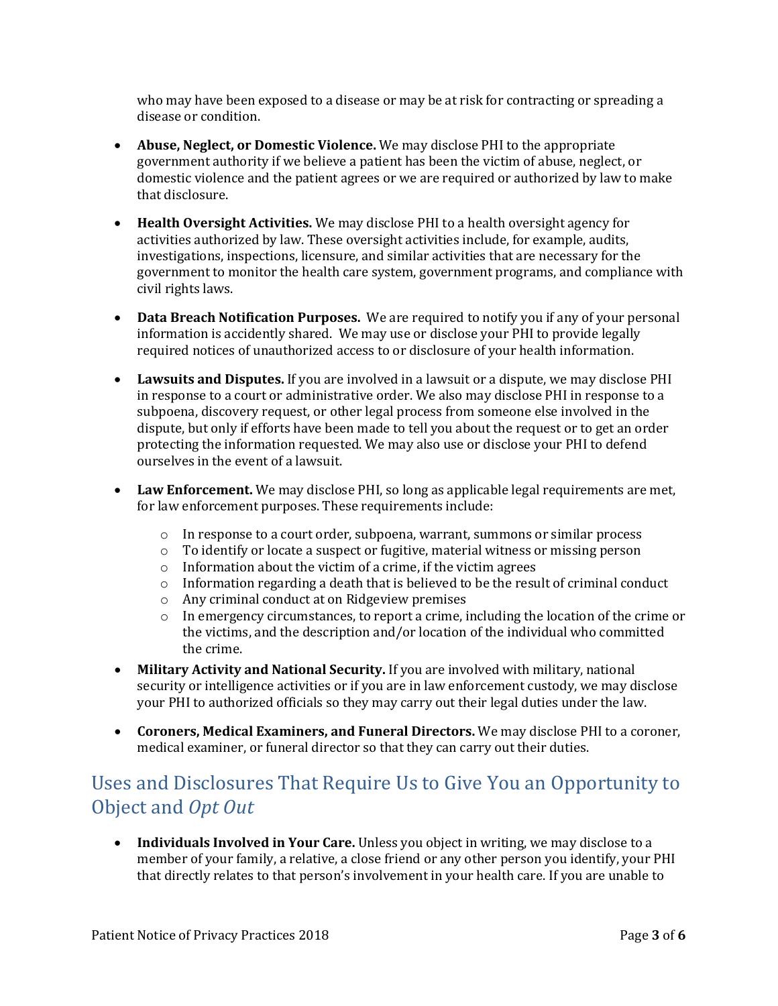who may have been exposed to a disease or may be at risk for contracting or spreading a disease or condition.

- **Abuse, Neglect, or Domestic Violence.** We may disclose PHI to the appropriate government authority if we believe a patient has been the victim of abuse, neglect, or domestic violence and the patient agrees or we are required or authorized by law to make that disclosure.
- **Health Oversight Activities.** We may disclose PHI to a health oversight agency for activities authorized by law. These oversight activities include, for example, audits, investigations, inspections, licensure, and similar activities that are necessary for the government to monitor the health care system, government programs, and compliance with civil rights laws.
- **Data Breach Notification Purposes.** We are required to notify you if any of your personal information is accidently shared. We may use or disclose your PHI to provide legally required notices of unauthorized access to or disclosure of your health information.
- **Lawsuits and Disputes.** If you are involved in a lawsuit or a dispute, we may disclose PHI in response to a court or administrative order. We also may disclose PHI in response to a subpoena, discovery request, or other legal process from someone else involved in the dispute, but only if efforts have been made to tell you about the request or to get an order protecting the information requested. We may also use or disclose your PHI to defend ourselves in the event of a lawsuit.
- **Law Enforcement.** We may disclose PHI, so long as applicable legal requirements are met, for law enforcement purposes. These requirements include:
	- $\circ$  In response to a court order, subpoena, warrant, summons or similar process
	- $\circ$  To identify or locate a suspect or fugitive, material witness or missing person
	- o Information about the victim of a crime, if the victim agrees
	- $\circ$  Information regarding a death that is believed to be the result of criminal conduct
	- o Any criminal conduct at on Ridgeview premises
	- $\circ$  In emergency circumstances, to report a crime, including the location of the crime or the victims, and the description and/or location of the individual who committed the crime.
- **Military Activity and National Security.** If you are involved with military, national security or intelligence activities or if you are in law enforcement custody, we may disclose your PHI to authorized officials so they may carry out their legal duties under the law.
- **Coroners, Medical Examiners, and Funeral Directors.** We may disclose PHI to a coroner, medical examiner, or funeral director so that they can carry out their duties.

# Uses and Disclosures That Require Us to Give You an Opportunity to Object and *Opt Out*

• **Individuals Involved in Your Care.** Unless you object in writing, we may disclose to a member of your family, a relative, a close friend or any other person you identify, your PHI that directly relates to that person's involvement in your health care. If you are unable to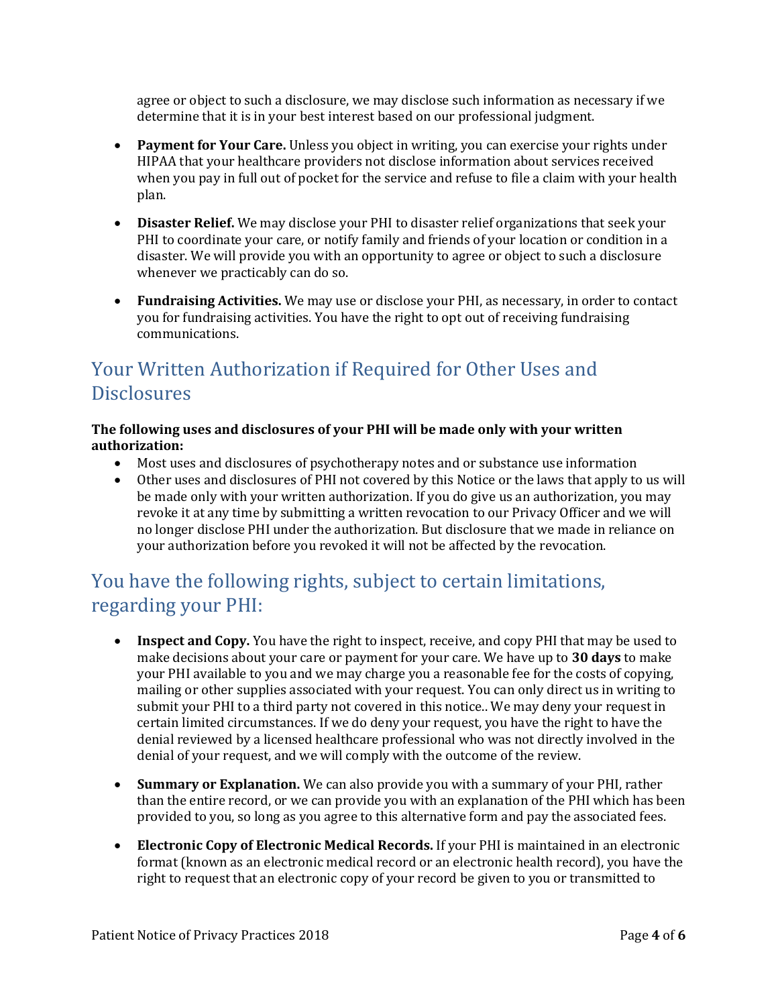agree or object to such a disclosure, we may disclose such information as necessary if we determine that it is in your best interest based on our professional judgment.

- **Payment for Your Care.** Unless you object in writing, you can exercise your rights under HIPAA that your healthcare providers not disclose information about services received when you pay in full out of pocket for the service and refuse to file a claim with your health plan.
- **Disaster Relief.** We may disclose your PHI to disaster relief organizations that seek your PHI to coordinate your care, or notify family and friends of your location or condition in a disaster. We will provide you with an opportunity to agree or object to such a disclosure whenever we practicably can do so.
- **Fundraising Activities.** We may use or disclose your PHI, as necessary, in order to contact you for fundraising activities. You have the right to opt out of receiving fundraising communications.

## Your Written Authorization if Required for Other Uses and **Disclosures**

### **The following uses and disclosures of your PHI will be made only with your written authorization:**

- Most uses and disclosures of psychotherapy notes and or substance use information
- Other uses and disclosures of PHI not covered by this Notice or the laws that apply to us will be made only with your written authorization. If you do give us an authorization, you may revoke it at any time by submitting a written revocation to our Privacy Officer and we will no longer disclose PHI under the authorization. But disclosure that we made in reliance on your authorization before you revoked it will not be affected by the revocation.

## You have the following rights, subject to certain limitations, regarding your PHI:

- **Inspect and Copy.** You have the right to inspect, receive, and copy PHI that may be used to make decisions about your care or payment for your care. We have up to **30 days** to make your PHI available to you and we may charge you a reasonable fee for the costs of copying, mailing or other supplies associated with your request. You can only direct us in writing to submit your PHI to a third party not covered in this notice.. We may deny your request in certain limited circumstances. If we do deny your request, you have the right to have the denial reviewed by a licensed healthcare professional who was not directly involved in the denial of your request, and we will comply with the outcome of the review.
- **Summary or Explanation.** We can also provide you with a summary of your PHI, rather than the entire record, or we can provide you with an explanation of the PHI which has been provided to you, so long as you agree to this alternative form and pay the associated fees.
- **Electronic Copy of Electronic Medical Records.** If your PHI is maintained in an electronic format (known as an electronic medical record or an electronic health record), you have the right to request that an electronic copy of your record be given to you or transmitted to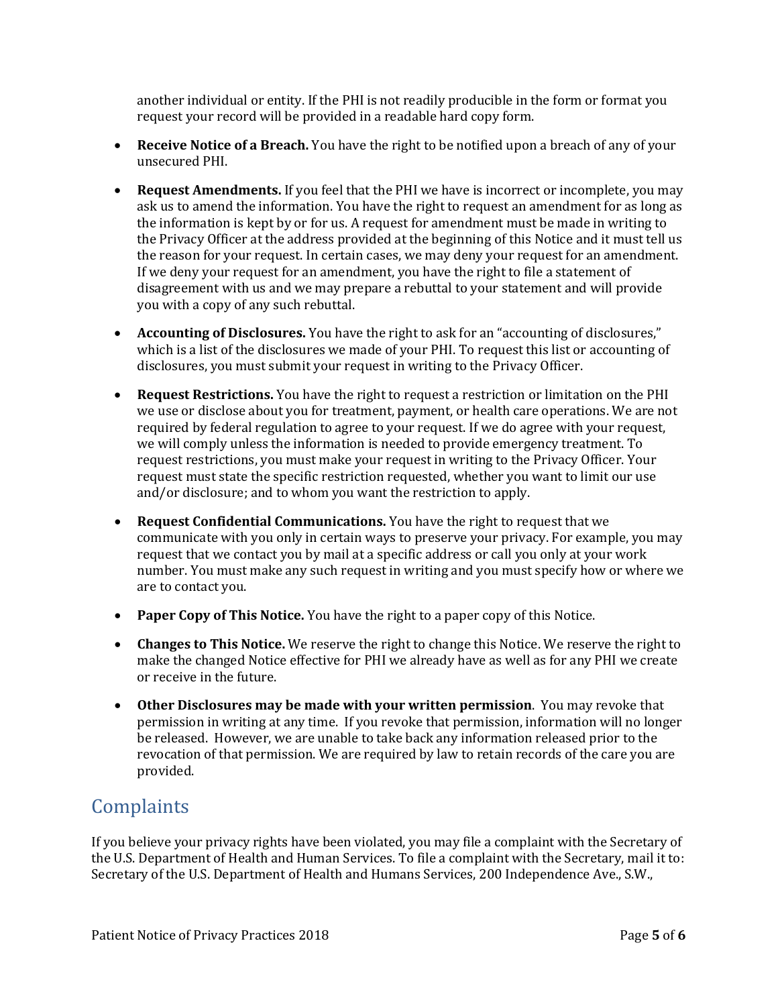another individual or entity. If the PHI is not readily producible in the form or format you request your record will be provided in a readable hard copy form.

- **Receive Notice of a Breach.** You have the right to be notified upon a breach of any of your unsecured PHI.
- **Request Amendments.** If you feel that the PHI we have is incorrect or incomplete, you may ask us to amend the information. You have the right to request an amendment for as long as the information is kept by or for us. A request for amendment must be made in writing to the Privacy Officer at the address provided at the beginning of this Notice and it must tell us the reason for your request. In certain cases, we may deny your request for an amendment. If we deny your request for an amendment, you have the right to file a statement of disagreement with us and we may prepare a rebuttal to your statement and will provide you with a copy of any such rebuttal.
- **Accounting of Disclosures.** You have the right to ask for an "accounting of disclosures," which is a list of the disclosures we made of your PHI. To request this list or accounting of disclosures, you must submit your request in writing to the Privacy Officer.
- **Request Restrictions.** You have the right to request a restriction or limitation on the PHI we use or disclose about you for treatment, payment, or health care operations. We are not required by federal regulation to agree to your request. If we do agree with your request, we will comply unless the information is needed to provide emergency treatment. To request restrictions, you must make your request in writing to the Privacy Officer. Your request must state the specific restriction requested, whether you want to limit our use and/or disclosure; and to whom you want the restriction to apply.
- **Request Confidential Communications.** You have the right to request that we communicate with you only in certain ways to preserve your privacy. For example, you may request that we contact you by mail at a specific address or call you only at your work number. You must make any such request in writing and you must specify how or where we are to contact you.
- **Paper Copy of This Notice.** You have the right to a paper copy of this Notice.
- **Changes to This Notice.** We reserve the right to change this Notice. We reserve the right to make the changed Notice effective for PHI we already have as well as for any PHI we create or receive in the future.
- **Other Disclosures may be made with your written permission**. You may revoke that permission in writing at any time. If you revoke that permission, information will no longer be released. However, we are unable to take back any information released prior to the revocation of that permission. We are required by law to retain records of the care you are provided.

## **Complaints**

If you believe your privacy rights have been violated, you may file a complaint with the Secretary of the U.S. Department of Health and Human Services. To file a complaint with the Secretary, mail it to: Secretary of the U.S. Department of Health and Humans Services, 200 Independence Ave., S.W.,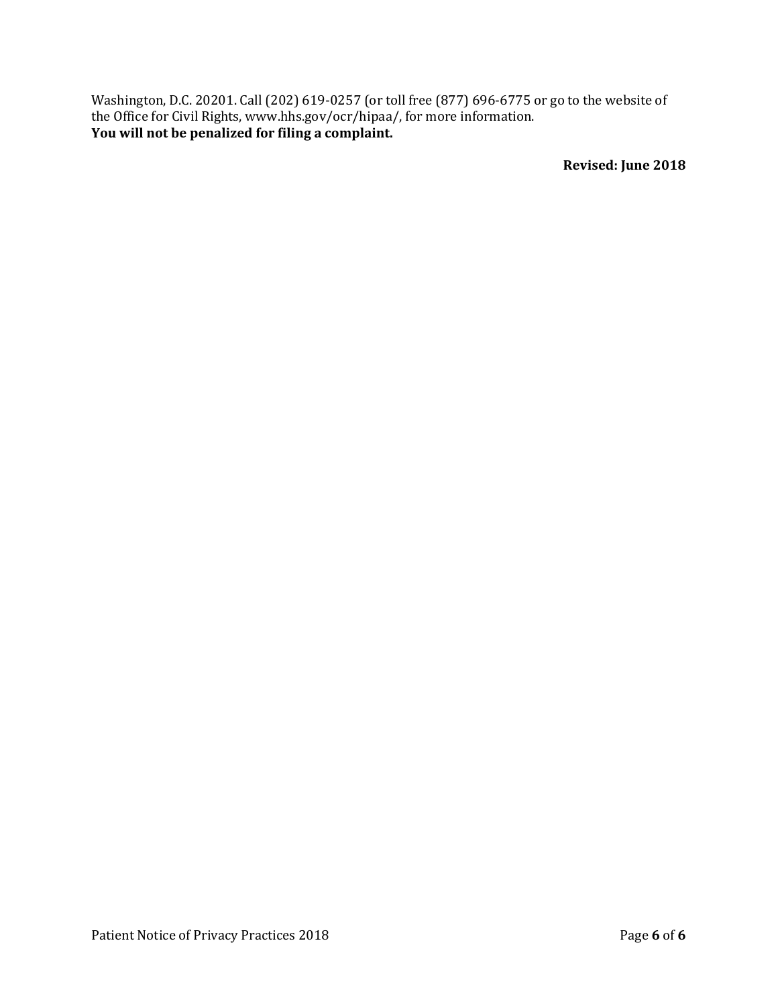Washington, D.C. 20201. Call (202) 619-0257 (or toll free (877) 696-6775 or go to the website of the Office for Civil Rights, www.hhs.gov/ocr/hipaa/, for more information. **You will not be penalized for filing a complaint.** 

**Revised: June 2018**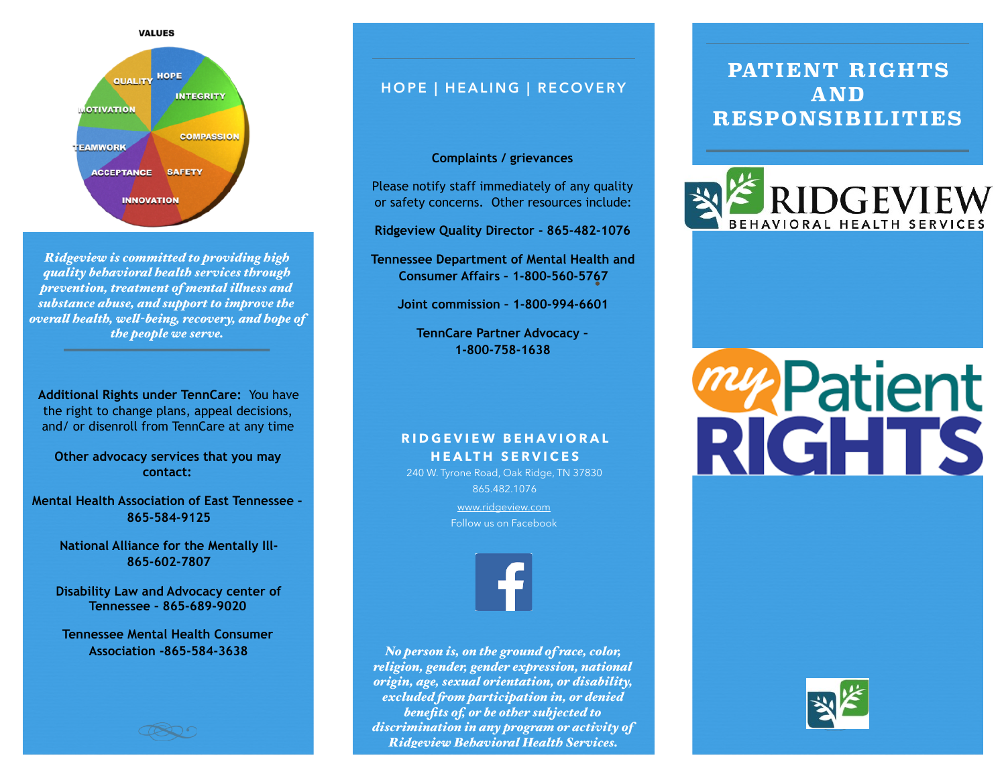

*Ridgeview is committed to providing high quality behavioral health services through prevention, treatment of mental ilness and substance abuse, and support to improve the overal health, wel-being, recovery, and hope of the people we serve.*

**Additional Rights under TennCare:** You have the right to change plans, appeal decisions, and/ or disenroll from TennCare at any time

**Other advocacy services that you may contact:** 

**Mental Health Association of East Tennessee – 865-584-9125**

> **National Alliance for the Mentally Ill-865-602-7807**

**Disability Law and Advocacy center of Tennessee – 865-689-9020**

**Tennessee Mental Health Consumer Association -865-584-3638** 



## **HOPE | HEALING | RECOVERY**

#### **Complaints / grievances**

Please notify staff immediately of any quality or safety concerns. Other resources include:

**Ridgeview Quality Director - 865-482-1076** 

**Tennessee Department of Mental Health and Consumer Affairs – 1-800-560-5767** 

**Joint commission – 1-800-994-6601** 

**TennCare Partner Advocacy – 1-800-758-1638**

#### **RIDGEVIEW BEHAVIORAL HEALTH SERVICES**

240 W. Tyrone Road, Oak Ridge, TN 37830 865.482.1076

> [www.ridgeview.com](http://www.ridgeview.com) Follow us on Facebook



*No person is, on the ground of race, color, religion, gender, gender expression, national origin, age, sexual orientation, or disability, excluded fom participation in, or denied benefits of, or be other subjected to discrimination in any program or activity of Ridgeview Behavioral Health Services.*

## **PATIENT RIGHTS AND RESPONSIBILITIES**



# *my* **Patient**<br>RIGHTS